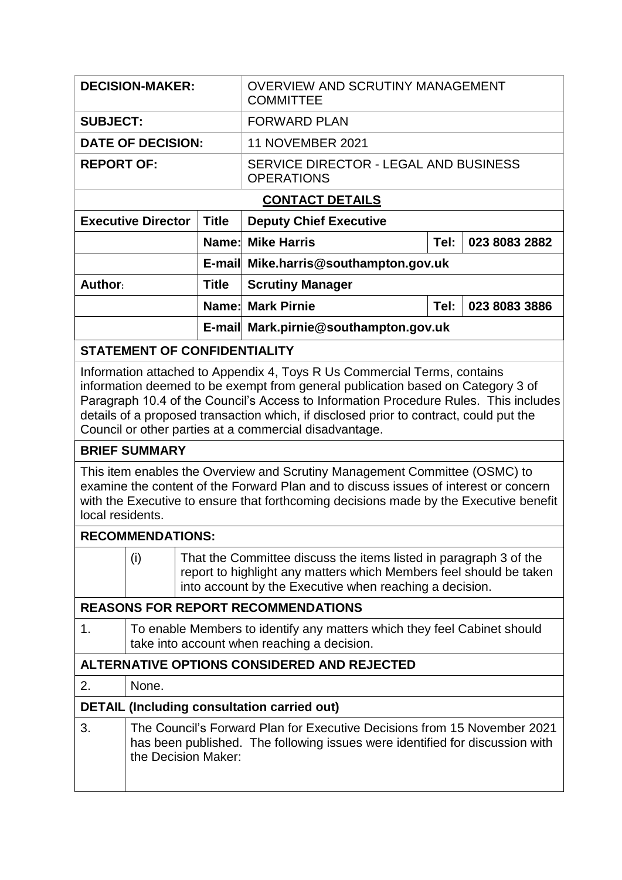| <b>SUBJECT:</b><br><b>FORWARD PLAN</b><br><b>DATE OF DECISION:</b><br><b>11 NOVEMBER 2021</b><br><b>REPORT OF:</b><br>SERVICE DIRECTOR - LEGAL AND BUSINESS<br><b>OPERATIONS</b>                                                                                                                                                                                                                                                                                                                                                                                                                                                                                                                                                                                                                                                                                                                                                                           |  |  |  |  |  |  |  |  |
|------------------------------------------------------------------------------------------------------------------------------------------------------------------------------------------------------------------------------------------------------------------------------------------------------------------------------------------------------------------------------------------------------------------------------------------------------------------------------------------------------------------------------------------------------------------------------------------------------------------------------------------------------------------------------------------------------------------------------------------------------------------------------------------------------------------------------------------------------------------------------------------------------------------------------------------------------------|--|--|--|--|--|--|--|--|
|                                                                                                                                                                                                                                                                                                                                                                                                                                                                                                                                                                                                                                                                                                                                                                                                                                                                                                                                                            |  |  |  |  |  |  |  |  |
|                                                                                                                                                                                                                                                                                                                                                                                                                                                                                                                                                                                                                                                                                                                                                                                                                                                                                                                                                            |  |  |  |  |  |  |  |  |
|                                                                                                                                                                                                                                                                                                                                                                                                                                                                                                                                                                                                                                                                                                                                                                                                                                                                                                                                                            |  |  |  |  |  |  |  |  |
| <b>CONTACT DETAILS</b>                                                                                                                                                                                                                                                                                                                                                                                                                                                                                                                                                                                                                                                                                                                                                                                                                                                                                                                                     |  |  |  |  |  |  |  |  |
| <b>Executive Director</b><br><b>Title</b><br><b>Deputy Chief Executive</b>                                                                                                                                                                                                                                                                                                                                                                                                                                                                                                                                                                                                                                                                                                                                                                                                                                                                                 |  |  |  |  |  |  |  |  |
| <b>Name: Mike Harris</b><br>023 8083 2882<br>Tel:                                                                                                                                                                                                                                                                                                                                                                                                                                                                                                                                                                                                                                                                                                                                                                                                                                                                                                          |  |  |  |  |  |  |  |  |
| E-mail Mike.harris@southampton.gov.uk                                                                                                                                                                                                                                                                                                                                                                                                                                                                                                                                                                                                                                                                                                                                                                                                                                                                                                                      |  |  |  |  |  |  |  |  |
| Author:<br><b>Title</b><br><b>Scrutiny Manager</b>                                                                                                                                                                                                                                                                                                                                                                                                                                                                                                                                                                                                                                                                                                                                                                                                                                                                                                         |  |  |  |  |  |  |  |  |
| <b>Name: Mark Pirnie</b><br>023 8083 3886<br>Tel:                                                                                                                                                                                                                                                                                                                                                                                                                                                                                                                                                                                                                                                                                                                                                                                                                                                                                                          |  |  |  |  |  |  |  |  |
| E-mail Mark.pirnie@southampton.gov.uk                                                                                                                                                                                                                                                                                                                                                                                                                                                                                                                                                                                                                                                                                                                                                                                                                                                                                                                      |  |  |  |  |  |  |  |  |
| <b>STATEMENT OF CONFIDENTIALITY</b>                                                                                                                                                                                                                                                                                                                                                                                                                                                                                                                                                                                                                                                                                                                                                                                                                                                                                                                        |  |  |  |  |  |  |  |  |
| Information attached to Appendix 4, Toys R Us Commercial Terms, contains<br>information deemed to be exempt from general publication based on Category 3 of<br>Paragraph 10.4 of the Council's Access to Information Procedure Rules. This includes<br>details of a proposed transaction which, if disclosed prior to contract, could put the<br>Council or other parties at a commercial disadvantage.<br><b>BRIEF SUMMARY</b><br>This item enables the Overview and Scrutiny Management Committee (OSMC) to<br>examine the content of the Forward Plan and to discuss issues of interest or concern<br>with the Executive to ensure that forthcoming decisions made by the Executive benefit<br>local residents.<br><b>RECOMMENDATIONS:</b><br>That the Committee discuss the items listed in paragraph 3 of the<br>(i)<br>report to highlight any matters which Members feel should be taken<br>into account by the Executive when reaching a decision. |  |  |  |  |  |  |  |  |
| <b>REASONS FOR REPORT RECOMMENDATIONS</b>                                                                                                                                                                                                                                                                                                                                                                                                                                                                                                                                                                                                                                                                                                                                                                                                                                                                                                                  |  |  |  |  |  |  |  |  |
| To enable Members to identify any matters which they feel Cabinet should<br>1.<br>take into account when reaching a decision.<br><b>ALTERNATIVE OPTIONS CONSIDERED AND REJECTED</b>                                                                                                                                                                                                                                                                                                                                                                                                                                                                                                                                                                                                                                                                                                                                                                        |  |  |  |  |  |  |  |  |
|                                                                                                                                                                                                                                                                                                                                                                                                                                                                                                                                                                                                                                                                                                                                                                                                                                                                                                                                                            |  |  |  |  |  |  |  |  |
| 2.<br>None.<br><b>DETAIL (Including consultation carried out)</b>                                                                                                                                                                                                                                                                                                                                                                                                                                                                                                                                                                                                                                                                                                                                                                                                                                                                                          |  |  |  |  |  |  |  |  |
| 3.<br>The Council's Forward Plan for Executive Decisions from 15 November 2021<br>has been published. The following issues were identified for discussion with<br>the Decision Maker:                                                                                                                                                                                                                                                                                                                                                                                                                                                                                                                                                                                                                                                                                                                                                                      |  |  |  |  |  |  |  |  |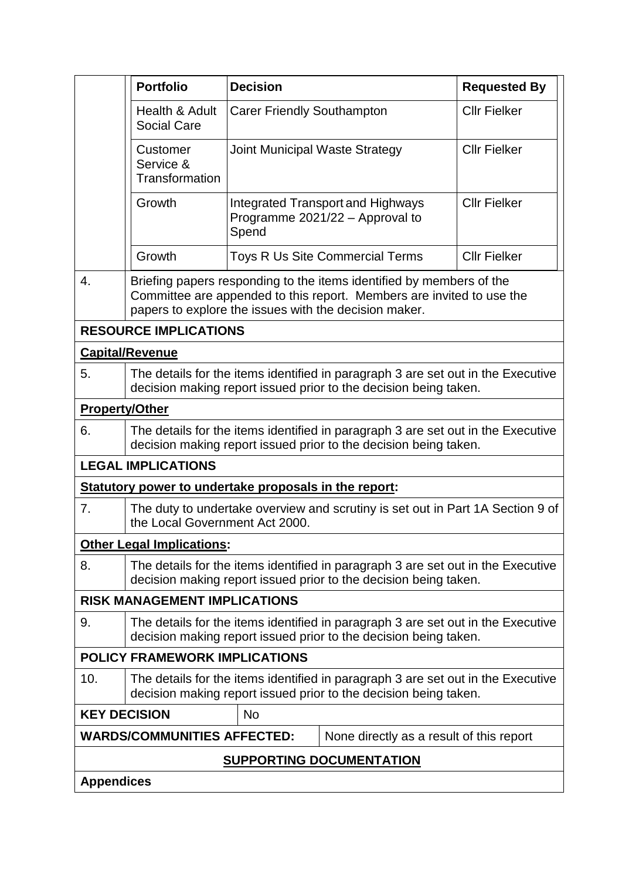|                                                | <b>Portfolio</b>                                                                                                                                                                                       | <b>Decision</b>                                                                                                                                      |                                                                             | <b>Requested By</b> |  |  |  |
|------------------------------------------------|--------------------------------------------------------------------------------------------------------------------------------------------------------------------------------------------------------|------------------------------------------------------------------------------------------------------------------------------------------------------|-----------------------------------------------------------------------------|---------------------|--|--|--|
|                                                | Health & Adult<br><b>Social Care</b>                                                                                                                                                                   | <b>Carer Friendly Southampton</b>                                                                                                                    |                                                                             | <b>Cllr Fielker</b> |  |  |  |
| Customer<br>Service &<br><b>Transformation</b> |                                                                                                                                                                                                        | <b>Joint Municipal Waste Strategy</b>                                                                                                                |                                                                             | <b>Cllr Fielker</b> |  |  |  |
|                                                | Growth                                                                                                                                                                                                 | Spend                                                                                                                                                | <b>Integrated Transport and Highways</b><br>Programme 2021/22 - Approval to | <b>Cllr Fielker</b> |  |  |  |
|                                                | Growth                                                                                                                                                                                                 |                                                                                                                                                      | <b>Toys R Us Site Commercial Terms</b>                                      | <b>Cllr Fielker</b> |  |  |  |
| 4.                                             | Briefing papers responding to the items identified by members of the<br>Committee are appended to this report. Members are invited to use the<br>papers to explore the issues with the decision maker. |                                                                                                                                                      |                                                                             |                     |  |  |  |
| <b>RESOURCE IMPLICATIONS</b>                   |                                                                                                                                                                                                        |                                                                                                                                                      |                                                                             |                     |  |  |  |
| <b>Capital/Revenue</b>                         |                                                                                                                                                                                                        |                                                                                                                                                      |                                                                             |                     |  |  |  |
| 5.                                             | The details for the items identified in paragraph 3 are set out in the Executive<br>decision making report issued prior to the decision being taken.                                                   |                                                                                                                                                      |                                                                             |                     |  |  |  |
| <b>Property/Other</b>                          |                                                                                                                                                                                                        |                                                                                                                                                      |                                                                             |                     |  |  |  |
| 6.                                             | The details for the items identified in paragraph 3 are set out in the Executive<br>decision making report issued prior to the decision being taken.                                                   |                                                                                                                                                      |                                                                             |                     |  |  |  |
| <b>LEGAL IMPLICATIONS</b>                      |                                                                                                                                                                                                        |                                                                                                                                                      |                                                                             |                     |  |  |  |
|                                                | Statutory power to undertake proposals in the report:                                                                                                                                                  |                                                                                                                                                      |                                                                             |                     |  |  |  |
| 7.                                             | The duty to undertake overview and scrutiny is set out in Part 1A Section 9 of<br>the Local Government Act 2000.                                                                                       |                                                                                                                                                      |                                                                             |                     |  |  |  |
| <b>Other Legal Implications:</b>               |                                                                                                                                                                                                        |                                                                                                                                                      |                                                                             |                     |  |  |  |
| 8.                                             | The details for the items identified in paragraph 3 are set out in the Executive<br>decision making report issued prior to the decision being taken.                                                   |                                                                                                                                                      |                                                                             |                     |  |  |  |
| <b>RISK MANAGEMENT IMPLICATIONS</b>            |                                                                                                                                                                                                        |                                                                                                                                                      |                                                                             |                     |  |  |  |
| 9.                                             | The details for the items identified in paragraph 3 are set out in the Executive<br>decision making report issued prior to the decision being taken.                                                   |                                                                                                                                                      |                                                                             |                     |  |  |  |
| <b>POLICY FRAMEWORK IMPLICATIONS</b>           |                                                                                                                                                                                                        |                                                                                                                                                      |                                                                             |                     |  |  |  |
| 10.                                            |                                                                                                                                                                                                        | The details for the items identified in paragraph 3 are set out in the Executive<br>decision making report issued prior to the decision being taken. |                                                                             |                     |  |  |  |
| <b>KEY DECISION</b>                            |                                                                                                                                                                                                        | <b>No</b>                                                                                                                                            |                                                                             |                     |  |  |  |
|                                                | <b>WARDS/COMMUNITIES AFFECTED:</b>                                                                                                                                                                     |                                                                                                                                                      | None directly as a result of this report                                    |                     |  |  |  |
| <b>SUPPORTING DOCUMENTATION</b>                |                                                                                                                                                                                                        |                                                                                                                                                      |                                                                             |                     |  |  |  |
| <b>Appendices</b>                              |                                                                                                                                                                                                        |                                                                                                                                                      |                                                                             |                     |  |  |  |